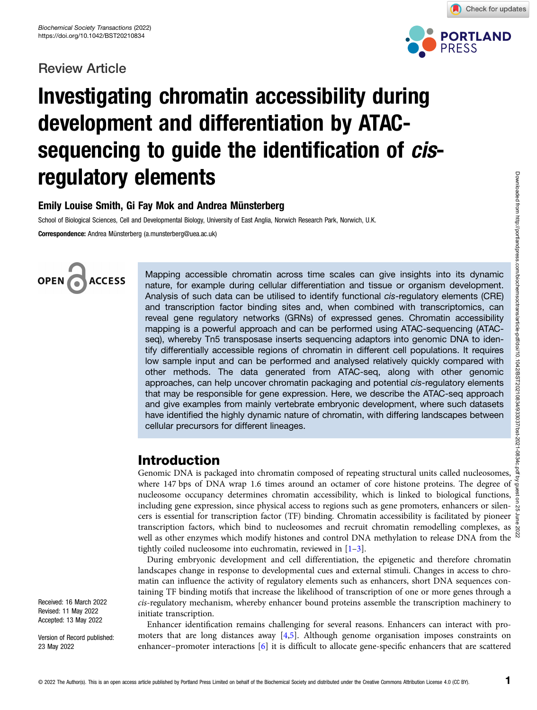### Review Article



Check for updates

# Investigating chromatin accessibility during development and differentiation by ATACsequencing to guide the identification of *cis*regulatory elements

### Emily Louise Smith, Gi Fay Mok and Andrea Münsterberg

School of Biological Sciences, Cell and Developmental Biology, University of East Anglia, Norwich Research Park, Norwich, U.K.

Correspondence: Andrea Münsterberg (a.munsterberg@uea.ac.uk)



Mapping accessible chromatin across time scales can give insights into its dynamic nature, for example during cellular differentiation and tissue or organism development. Analysis of such data can be utilised to identify functional c*is*-regulatory elements (CRE) and transcription factor binding sites and, when combined with transcriptomics, can reveal gene regulatory networks (GRNs) of expressed genes. Chromatin accessibility mapping is a powerful approach and can be performed using ATAC-sequencing (ATACseq), whereby Tn5 transposase inserts sequencing adaptors into genomic DNA to identify differentially accessible regions of chromatin in different cell populations. It requires low sample input and can be performed and analysed relatively quickly compared with other methods. The data generated from ATAC-seq, along with other genomic approaches, can help uncover chromatin packaging and potential cis-regulatory elements that may be responsible for gene expression. Here, we describe the ATAC-seq approach and give examples from mainly vertebrate embryonic development, where such datasets have identified the highly dynamic nature of chromatin, with differing landscapes between cellular precursors for different lineages.

### Introduction

Genomic DNA is packaged into chromatin composed of repeating structural units called nucleosomes, where 147 bps of DNA wrap 1.6 times around an octamer of core histone proteins. The degree of nucleosome occupancy determines chromatin accessibility, which is linked to biological functions, including gene expression, since physical access to regions such as gene promoters, enhancers or silencers is essential for transcription factor (TF) binding. Chromatin accessibility is facilitated by pioneer transcription factors, which bind to nucleosomes and recruit chromatin remodelling complexes, as  $\frac{8}{5}$ well as other enzymes which modify histones and control DNA methylation to release DNA from the  $\frac{8}{3}$ tightly coiled nucleosome into euchromatin, reviewed in [[1](#page-8-0)–[3\]](#page-8-0). Downloaded from http://portlandpress.com/biochemsoctrans/article-pdf/doi/10.1042/BST20210834/933037/bst-2021-0834c.pdf by guest on 25 June 2022

During embryonic development and cell differentiation, the epigenetic and therefore chromatin landscapes change in response to developmental cues and external stimuli. Changes in access to chromatin can influence the activity of regulatory elements such as enhancers, short DNA sequences containing TF binding motifs that increase the likelihood of transcription of one or more genes through a cis-regulatory mechanism, whereby enhancer bound proteins assemble the transcription machinery to initiate transcription.

Enhancer identification remains challenging for several reasons. Enhancers can interact with promoters that are long distances away [\[4,5](#page-8-0)]. Although genome organisation imposes constraints on enhancer–promoter interactions [[6](#page-8-0)] it is difficult to allocate gene-specific enhancers that are scattered

Received: 16 March 2022 Revised: 11 May 2022 Accepted: 13 May 2022

Version of Record published: 23 May 2022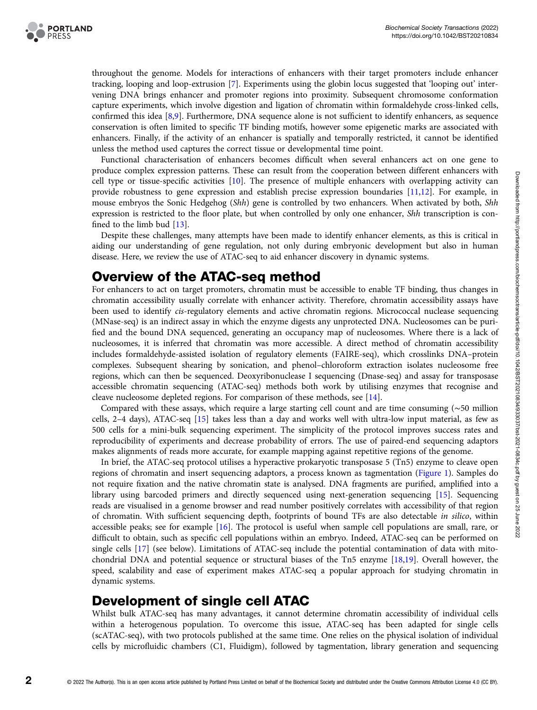

throughout the genome. Models for interactions of enhancers with their target promoters include enhancer tracking, looping and loop-extrusion [[7](#page-8-0)]. Experiments using the globin locus suggested that 'looping out' intervening DNA brings enhancer and promoter regions into proximity. Subsequent chromosome conformation capture experiments, which involve digestion and ligation of chromatin within formaldehyde cross-linked cells, confirmed this idea [\[8,9](#page-8-0)]. Furthermore, DNA sequence alone is not sufficient to identify enhancers, as sequence conservation is often limited to specific TF binding motifs, however some epigenetic marks are associated with enhancers. Finally, if the activity of an enhancer is spatially and temporally restricted, it cannot be identified unless the method used captures the correct tissue or developmental time point.

Functional characterisation of enhancers becomes difficult when several enhancers act on one gene to produce complex expression patterns. These can result from the cooperation between different enhancers with cell type or tissue-specific activities [\[10\]](#page-8-0). The presence of multiple enhancers with overlapping activity can provide robustness to gene expression and establish precise expression boundaries [[11,12](#page-8-0)]. For example, in mouse embryos the Sonic Hedgehog (Shh) gene is controlled by two enhancers. When activated by both, Shh expression is restricted to the floor plate, but when controlled by only one enhancer, Shh transcription is confined to the limb bud [[13](#page-8-0)].

Despite these challenges, many attempts have been made to identify enhancer elements, as this is critical in aiding our understanding of gene regulation, not only during embryonic development but also in human disease. Here, we review the use of ATAC-seq to aid enhancer discovery in dynamic systems.

### Overview of the ATAC-seq method

For enhancers to act on target promoters, chromatin must be accessible to enable TF binding, thus changes in chromatin accessibility usually correlate with enhancer activity. Therefore, chromatin accessibility assays have been used to identify cis-regulatory elements and active chromatin regions. Micrococcal nuclease sequencing (MNase-seq) is an indirect assay in which the enzyme digests any unprotected DNA. Nucleosomes can be purified and the bound DNA sequenced, generating an occupancy map of nucleosomes. Where there is a lack of nucleosomes, it is inferred that chromatin was more accessible. A direct method of chromatin accessibility includes formaldehyde-assisted isolation of regulatory elements (FAIRE-seq), which crosslinks DNA–protein complexes. Subsequent shearing by sonication, and phenol–chloroform extraction isolates nucleosome free regions, which can then be sequenced. Deoxyribonuclease I sequencing (Dnase-seq) and assay for transposase accessible chromatin sequencing (ATAC-seq) methods both work by utilising enzymes that recognise and cleave nucleosome depleted regions. For comparison of these methods, see [[14](#page-8-0)].

Compared with these assays, which require a large starting cell count and are time consuming (∼50 million cells, 2–4 days), ATAC-seq [[15](#page-8-0)] takes less than a day and works well with ultra-low input material, as few as 500 cells for a mini-bulk sequencing experiment. The simplicity of the protocol improves success rates and reproducibility of experiments and decrease probability of errors. The use of paired-end sequencing adaptors makes alignments of reads more accurate, for example mapping against repetitive regions of the genome.

In brief, the ATAC-seq protocol utilises a hyperactive prokaryotic transposase 5 (Tn5) enzyme to cleave open regions of chromatin and insert sequencing adaptors, a process known as tagmentation [\(Figure 1](#page-2-0)). Samples do not require fixation and the native chromatin state is analysed. DNA fragments are purified, amplified into a library using barcoded primers and directly sequenced using next-generation sequencing [[15](#page-8-0)]. Sequencing reads are visualised in a genome browser and read number positively correlates with accessibility of that region of chromatin. With sufficient sequencing depth, footprints of bound TFs are also detectable in silico, within accessible peaks; see for example [[16\]](#page-8-0). The protocol is useful when sample cell populations are small, rare, or difficult to obtain, such as specific cell populations within an embryo. Indeed, ATAC-seq can be performed on single cells [[17](#page-8-0)] (see below). Limitations of ATAC-seq include the potential contamination of data with mitochondrial DNA and potential sequence or structural biases of the Tn5 enzyme [\[18,19\]](#page-8-0). Overall however, the speed, scalability and ease of experiment makes ATAC-seq a popular approach for studying chromatin in dynamic systems.

### Development of single cell ATAC

Whilst bulk ATAC-seq has many advantages, it cannot determine chromatin accessibility of individual cells within a heterogenous population. To overcome this issue, ATAC-seq has been adapted for single cells (scATAC-seq), with two protocols published at the same time. One relies on the physical isolation of individual cells by microfluidic chambers (C1, Fluidigm), followed by tagmentation, library generation and sequencing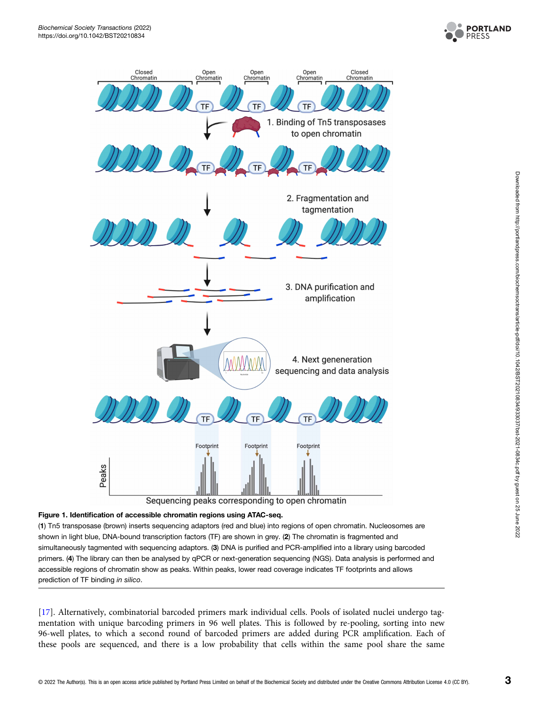

<span id="page-2-0"></span>

#### Figure 1. Identification of accessible chromatin regions using ATAC-seq.

(1) Tn5 transposase (brown) inserts sequencing adaptors (red and blue) into regions of open chromatin. Nucleosomes are shown in light blue, DNA-bound transcription factors (TF) are shown in grey. (2) The chromatin is fragmented and simultaneously tagmented with sequencing adaptors. (3) DNA is purified and PCR-amplified into a library using barcoded primers. (4) The library can then be analysed by qPCR or next-generation sequencing (NGS). Data analysis is performed and accessible regions of chromatin show as peaks. Within peaks, lower read coverage indicates TF footprints and allows prediction of TF binding in silico.

[[17\]](#page-8-0). Alternatively, combinatorial barcoded primers mark individual cells. Pools of isolated nuclei undergo tagmentation with unique barcoding primers in 96 well plates. This is followed by re-pooling, sorting into new 96-well plates, to which a second round of barcoded primers are added during PCR amplification. Each of these pools are sequenced, and there is a low probability that cells within the same pool share the same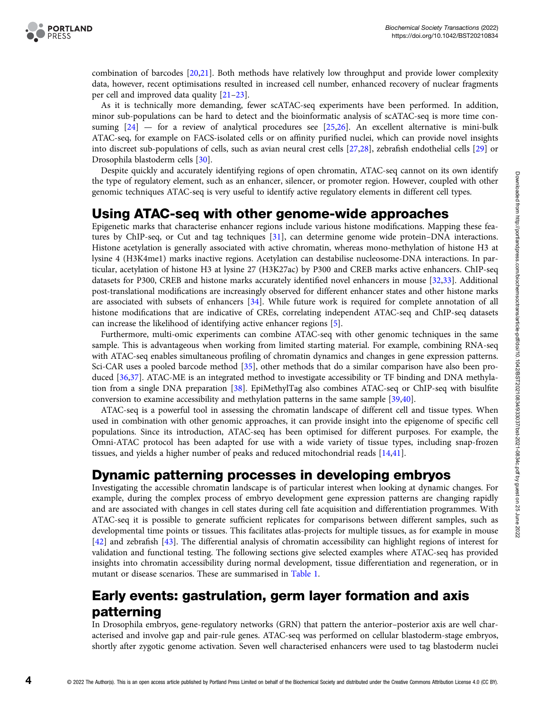

combination of barcodes [\[20,21\]](#page-8-0). Both methods have relatively low throughput and provide lower complexity data, however, recent optimisations resulted in increased cell number, enhanced recovery of nuclear fragments per cell and improved data quality [[21](#page-8-0)–[23](#page-8-0)].

As it is technically more demanding, fewer scATAC-seq experiments have been performed. In addition, minor sub-populations can be hard to detect and the bioinformatic analysis of scATAC-seq is more time consuming  $[24]$  $[24]$  — for a review of analytical procedures see  $[25,26]$  $[25,26]$  $[25,26]$ . An excellent alternative is mini-bulk ATAC-seq, for example on FACS-isolated cells or on affinity purified nuclei, which can provide novel insights into discreet sub-populations of cells, such as avian neural crest cells [[27,28\]](#page-9-0), zebrafish endothelial cells [[29](#page-9-0)] or Drosophila blastoderm cells [\[30](#page-9-0)].

Despite quickly and accurately identifying regions of open chromatin, ATAC-seq cannot on its own identify the type of regulatory element, such as an enhancer, silencer, or promoter region. However, coupled with other genomic techniques ATAC-seq is very useful to identify active regulatory elements in different cell types.

# Using ATAC-seq with other genome-wide approaches

Epigenetic marks that characterise enhancer regions include various histone modifications. Mapping these features by ChIP-seq, or Cut and tag techniques [\[31\]](#page-9-0), can determine genome wide protein–DNA interactions. Histone acetylation is generally associated with active chromatin, whereas mono-methylation of histone H3 at lysine 4 (H3K4me1) marks inactive regions. Acetylation can destabilise nucleosome-DNA interactions. In particular, acetylation of histone H3 at lysine 27 (H3K27ac) by P300 and CREB marks active enhancers. ChIP-seq datasets for P300, CREB and histone marks accurately identified novel enhancers in mouse [[32,33\]](#page-9-0). Additional post-translational modifications are increasingly observed for different enhancer states and other histone marks are associated with subsets of enhancers [[34](#page-9-0)]. While future work is required for complete annotation of all histone modifications that are indicative of CREs, correlating independent ATAC-seq and ChIP-seq datasets can increase the likelihood of identifying active enhancer regions [[5\]](#page-8-0).

Furthermore, multi-omic experiments can combine ATAC-seq with other genomic techniques in the same sample. This is advantageous when working from limited starting material. For example, combining RNA-seq with ATAC-seq enables simultaneous profiling of chromatin dynamics and changes in gene expression patterns. Sci-CAR uses a pooled barcode method [[35](#page-9-0)], other methods that do a similar comparison have also been produced [[36,37\]](#page-9-0). ATAC-ME is an integrated method to investigate accessibility or TF binding and DNA methylation from a single DNA preparation [\[38\]](#page-9-0). EpiMethylTag also combines ATAC-seq or ChIP-seq with bisulfite conversion to examine accessibility and methylation patterns in the same sample [\[39,40\]](#page-9-0).

ATAC-seq is a powerful tool in assessing the chromatin landscape of different cell and tissue types. When used in combination with other genomic approaches, it can provide insight into the epigenome of specific cell populations. Since its introduction, ATAC-seq has been optimised for different purposes. For example, the Omni-ATAC protocol has been adapted for use with a wide variety of tissue types, including snap-frozen tissues, and yields a higher number of peaks and reduced mitochondrial reads [[14](#page-8-0)[,41\]](#page-9-0).

# Dynamic patterning processes in developing embryos

Investigating the accessible chromatin landscape is of particular interest when looking at dynamic changes. For example, during the complex process of embryo development gene expression patterns are changing rapidly and are associated with changes in cell states during cell fate acquisition and differentiation programmes. With ATAC-seq it is possible to generate sufficient replicates for comparisons between different samples, such as developmental time points or tissues. This facilitates atlas-projects for multiple tissues, as for example in mouse [[42](#page-9-0)] and zebrafish [[43](#page-9-0)]. The differential analysis of chromatin accessibility can highlight regions of interest for validation and functional testing. The following sections give selected examples where ATAC-seq has provided insights into chromatin accessibility during normal development, tissue differentiation and regeneration, or in mutant or disease scenarios. These are summarised in [Table 1.](#page-4-0)

# Early events: gastrulation, germ layer formation and axis patterning

In Drosophila embryos, gene-regulatory networks (GRN) that pattern the anterior–posterior axis are well characterised and involve gap and pair-rule genes. ATAC-seq was performed on cellular blastoderm-stage embryos, shortly after zygotic genome activation. Seven well characterised enhancers were used to tag blastoderm nuclei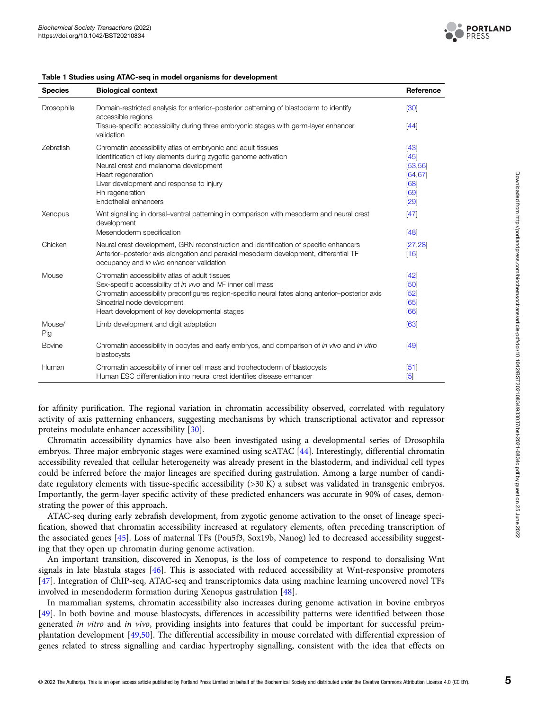

<span id="page-4-0"></span>

| Table 1 Studies using ATAC-seq in model organisms for development |  |
|-------------------------------------------------------------------|--|
|-------------------------------------------------------------------|--|

| <b>Species</b> | <b>Biological context</b>                                                                                                                                                                                                   | Reference        |
|----------------|-----------------------------------------------------------------------------------------------------------------------------------------------------------------------------------------------------------------------------|------------------|
| Drosophila     | Domain-restricted analysis for anterior-posterior patterning of blastoderm to identify<br>accessible regions<br>Tissue-specific accessibility during three embryonic stages with germ-layer enhancer                        | [30]<br>$[44]$   |
|                | validation                                                                                                                                                                                                                  |                  |
| Zebrafish      | Chromatin accessibility atlas of embryonic and adult tissues                                                                                                                                                                | $[43]$           |
|                | Identification of key elements during zygotic genome activation                                                                                                                                                             | [45]             |
|                | Neural crest and melanoma development                                                                                                                                                                                       | [53, 56]         |
|                | Heart regeneration                                                                                                                                                                                                          | [64, 67]         |
|                | Liver development and response to injury                                                                                                                                                                                    | [68]             |
|                | Fin regeneration<br>Endothelial enhancers                                                                                                                                                                                   | [69]             |
|                |                                                                                                                                                                                                                             | [29]             |
| Xenopus        | Wnt signalling in dorsal-ventral patterning in comparison with mesoderm and neural crest<br>development                                                                                                                     | $[47]$           |
|                | Mesendoderm specification                                                                                                                                                                                                   | [48]             |
| Chicken        | Neural crest development, GRN reconstruction and identification of specific enhancers<br>Anterior-posterior axis elongation and paraxial mesoderm development, differential TF<br>occupancy and in vivo enhancer validation | [27, 28]<br>[16] |
| Mouse          | Chromatin accessibility atlas of adult tissues                                                                                                                                                                              | $[42]$           |
|                | Sex-specific accessibility of in vivo and IVF inner cell mass                                                                                                                                                               | [50]             |
|                | Chromatin accessibility preconfigures region-specific neural fates along anterior-posterior axis                                                                                                                            | [52]             |
|                | Sinoatrial node development                                                                                                                                                                                                 | [65]             |
|                | Heart development of key developmental stages                                                                                                                                                                               | [66]             |
| Mouse/<br>Pig  | Limb development and digit adaptation                                                                                                                                                                                       | [63]             |
| Bovine         | Chromatin accessibility in oocytes and early embryos, and comparison of in vivo and in vitro<br>blastocysts                                                                                                                 | [49]             |
| Human          | Chromatin accessibility of inner cell mass and trophectoderm of blastocysts                                                                                                                                                 | [51]             |
|                | Human ESC differentiation into neural crest identifies disease enhancer                                                                                                                                                     | $\sqrt{5}$       |

for affinity purification. The regional variation in chromatin accessibility observed, correlated with regulatory activity of axis patterning enhancers, suggesting mechanisms by which transcriptional activator and repressor proteins modulate enhancer accessibility [\[30\]](#page-9-0).

Chromatin accessibility dynamics have also been investigated using a developmental series of Drosophila embryos. Three major embryonic stages were examined using scATAC [[44](#page-9-0)]. Interestingly, differential chromatin accessibility revealed that cellular heterogeneity was already present in the blastoderm, and individual cell types could be inferred before the major lineages are specified during gastrulation. Among a large number of candidate regulatory elements with tissue-specific accessibility (>30 K) a subset was validated in transgenic embryos. Importantly, the germ-layer specific activity of these predicted enhancers was accurate in 90% of cases, demonstrating the power of this approach.

ATAC-seq during early zebrafish development, from zygotic genome activation to the onset of lineage specification, showed that chromatin accessibility increased at regulatory elements, often preceding transcription of the associated genes [\[45\]](#page-9-0). Loss of maternal TFs (Pou5f3, Sox19b, Nanog) led to decreased accessibility suggesting that they open up chromatin during genome activation.

An important transition, discovered in Xenopus, is the loss of competence to respond to dorsalising Wnt signals in late blastula stages [[46\]](#page-9-0). This is associated with reduced accessibility at Wnt-responsive promoters [[47\]](#page-9-0). Integration of ChIP-seq, ATAC-seq and transcriptomics data using machine learning uncovered novel TFs involved in mesendoderm formation during Xenopus gastrulation [\[48\]](#page-9-0).

In mammalian systems, chromatin accessibility also increases during genome activation in bovine embryos [[49\]](#page-9-0). In both bovine and mouse blastocysts, differences in accessibility patterns were identified between those generated in vitro and in vivo, providing insights into features that could be important for successful preimplantation development [[49](#page-9-0),[50](#page-9-0)]. The differential accessibility in mouse correlated with differential expression of genes related to stress signalling and cardiac hypertrophy signalling, consistent with the idea that effects on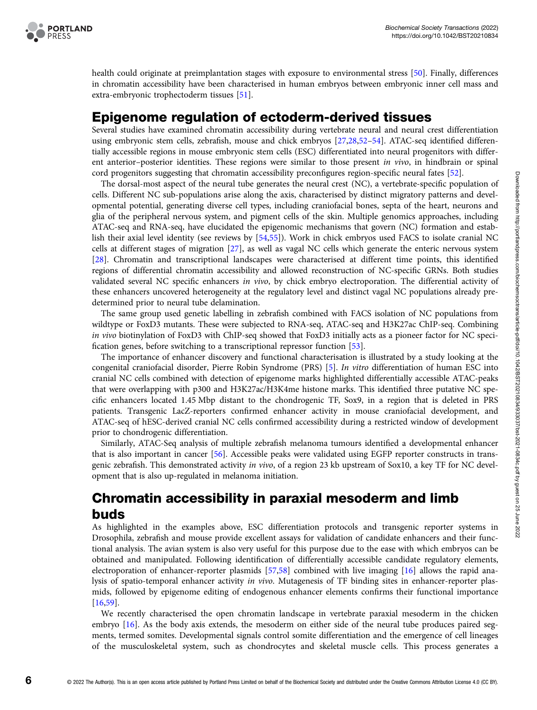

health could originate at preimplantation stages with exposure to environmental stress [[50\]](#page-9-0). Finally, differences in chromatin accessibility have been characterised in human embryos between embryonic inner cell mass and extra-embryonic trophectoderm tissues [[51](#page-9-0)].

### Epigenome regulation of ectoderm-derived tissues

Several studies have examined chromatin accessibility during vertebrate neural and neural crest differentiation using embryonic stem cells, zebrafish, mouse and chick embryos [[27,28,52](#page-9-0)–[54](#page-9-0)]. ATAC-seq identified differentially accessible regions in mouse embryonic stem cells (ESC) differentiated into neural progenitors with different anterior–posterior identities. These regions were similar to those present in vivo, in hindbrain or spinal cord progenitors suggesting that chromatin accessibility preconfigures region-specific neural fates [\[52\]](#page-9-0).

The dorsal-most aspect of the neural tube generates the neural crest (NC), a vertebrate-specific population of cells. Different NC sub-populations arise along the axis, characterised by distinct migratory patterns and developmental potential, generating diverse cell types, including craniofacial bones, septa of the heart, neurons and glia of the peripheral nervous system, and pigment cells of the skin. Multiple genomics approaches, including ATAC-seq and RNA-seq, have elucidated the epigenomic mechanisms that govern (NC) formation and establish their axial level identity (see reviews by [[54,55](#page-9-0)]). Work in chick embryos used FACS to isolate cranial NC cells at different stages of migration [[27](#page-9-0)], as well as vagal NC cells which generate the enteric nervous system [[28](#page-9-0)]. Chromatin and transcriptional landscapes were characterised at different time points, this identified regions of differential chromatin accessibility and allowed reconstruction of NC-specific GRNs. Both studies validated several NC specific enhancers in vivo, by chick embryo electroporation. The differential activity of these enhancers uncovered heterogeneity at the regulatory level and distinct vagal NC populations already predetermined prior to neural tube delamination.

The same group used genetic labelling in zebrafish combined with FACS isolation of NC populations from wildtype or FoxD3 mutants. These were subjected to RNA-seq, ATAC-seq and H3K27ac ChIP-seq. Combining in vivo biotinylation of FoxD3 with ChIP-seq showed that FoxD3 initially acts as a pioneer factor for NC specification genes, before switching to a transcriptional repressor function [\[53\]](#page-9-0).

The importance of enhancer discovery and functional characterisation is illustrated by a study looking at the congenital craniofacial disorder, Pierre Robin Syndrome (PRS) [\[5](#page-8-0)]. In vitro differentiation of human ESC into cranial NC cells combined with detection of epigenome marks highlighted differentially accessible ATAC-peaks that were overlapping with p300 and H3K27ac/H3K4me histone marks. This identified three putative NC specific enhancers located 1.45 Mbp distant to the chondrogenic TF, Sox9, in a region that is deleted in PRS patients. Transgenic LacZ-reporters confirmed enhancer activity in mouse craniofacial development, and ATAC-seq of hESC-derived cranial NC cells confirmed accessibility during a restricted window of development prior to chondrogenic differentiation.

Similarly, ATAC-Seq analysis of multiple zebrafish melanoma tumours identified a developmental enhancer that is also important in cancer [\[56\]](#page-9-0). Accessible peaks were validated using EGFP reporter constructs in transgenic zebrafish. This demonstrated activity in vivo, of a region 23 kb upstream of Sox10, a key TF for NC development that is also up-regulated in melanoma initiation.

# Chromatin accessibility in paraxial mesoderm and limb buds

As highlighted in the examples above, ESC differentiation protocols and transgenic reporter systems in Drosophila, zebrafish and mouse provide excellent assays for validation of candidate enhancers and their functional analysis. The avian system is also very useful for this purpose due to the ease with which embryos can be obtained and manipulated. Following identification of differentially accessible candidate regulatory elements, electroporation of enhancer-reporter plasmids [\[57](#page-9-0)[,58\]](#page-10-0) combined with live imaging [[16](#page-8-0)] allows the rapid analysis of spatio-temporal enhancer activity in vivo. Mutagenesis of TF binding sites in enhancer-reporter plasmids, followed by epigenome editing of endogenous enhancer elements confirms their functional importance [[16](#page-8-0)[,59\]](#page-10-0).

We recently characterised the open chromatin landscape in vertebrate paraxial mesoderm in the chicken embryo [[16](#page-8-0)]. As the body axis extends, the mesoderm on either side of the neural tube produces paired segments, termed somites. Developmental signals control somite differentiation and the emergence of cell lineages of the musculoskeletal system, such as chondrocytes and skeletal muscle cells. This process generates a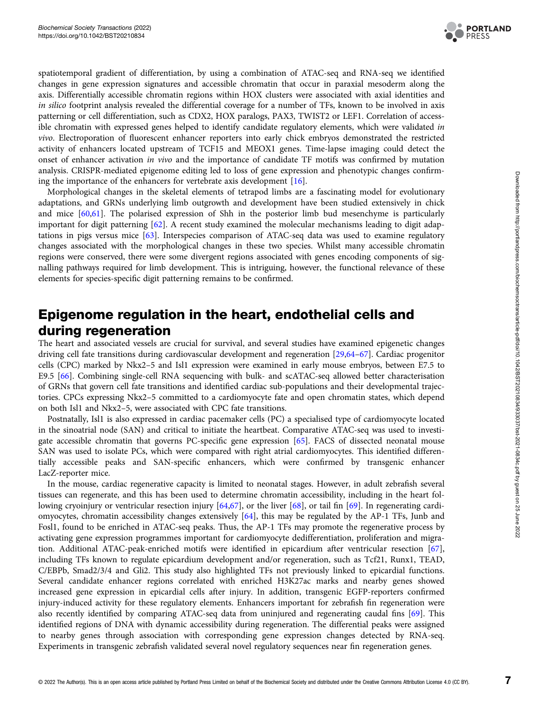

spatiotemporal gradient of differentiation, by using a combination of ATAC-seq and RNA-seq we identified changes in gene expression signatures and accessible chromatin that occur in paraxial mesoderm along the axis. Differentially accessible chromatin regions within HOX clusters were associated with axial identities and in silico footprint analysis revealed the differential coverage for a number of TFs, known to be involved in axis patterning or cell differentiation, such as CDX2, HOX paralogs, PAX3, TWIST2 or LEF1. Correlation of accessible chromatin with expressed genes helped to identify candidate regulatory elements, which were validated in vivo. Electroporation of fluorescent enhancer reporters into early chick embryos demonstrated the restricted activity of enhancers located upstream of TCF15 and MEOX1 genes. Time-lapse imaging could detect the onset of enhancer activation in vivo and the importance of candidate TF motifs was confirmed by mutation analysis. CRISPR-mediated epigenome editing led to loss of gene expression and phenotypic changes confirming the importance of the enhancers for vertebrate axis development [[16](#page-8-0)].

Morphological changes in the skeletal elements of tetrapod limbs are a fascinating model for evolutionary adaptations, and GRNs underlying limb outgrowth and development have been studied extensively in chick and mice [\[60,61](#page-10-0)]. The polarised expression of Shh in the posterior limb bud mesenchyme is particularly important for digit patterning [[62](#page-10-0)]. A recent study examined the molecular mechanisms leading to digit adaptations in pigs versus mice [[63](#page-10-0)]. Interspecies comparison of ATAC-seq data was used to examine regulatory changes associated with the morphological changes in these two species. Whilst many accessible chromatin regions were conserved, there were some divergent regions associated with genes encoding components of signalling pathways required for limb development. This is intriguing, however, the functional relevance of these elements for species-specific digit patterning remains to be confirmed.

# Epigenome regulation in the heart, endothelial cells and during regeneration

The heart and associated vessels are crucial for survival, and several studies have examined epigenetic changes driving cell fate transitions during cardiovascular development and regeneration [\[29](#page-9-0)[,64](#page-10-0)–[67\]](#page-10-0). Cardiac progenitor cells (CPC) marked by Nkx2–5 and Isl1 expression were examined in early mouse embryos, between E7.5 to E9.5 [\[66\]](#page-10-0). Combining single-cell RNA sequencing with bulk- and scATAC-seq allowed better characterisation of GRNs that govern cell fate transitions and identified cardiac sub-populations and their developmental trajectories. CPCs expressing Nkx2–5 committed to a cardiomyocyte fate and open chromatin states, which depend on both Isl1 and Nkx2–5, were associated with CPC fate transitions.

Postnatally, Isl1 is also expressed in cardiac pacemaker cells (PC) a specialised type of cardiomyocyte located in the sinoatrial node (SAN) and critical to initiate the heartbeat. Comparative ATAC-seq was used to investigate accessible chromatin that governs PC-specific gene expression [[65](#page-10-0)]. FACS of dissected neonatal mouse SAN was used to isolate PCs, which were compared with right atrial cardiomyocytes. This identified differentially accessible peaks and SAN-specific enhancers, which were confirmed by transgenic enhancer LacZ-reporter mice.

In the mouse, cardiac regenerative capacity is limited to neonatal stages. However, in adult zebrafish several tissues can regenerate, and this has been used to determine chromatin accessibility, including in the heart following cryoinjury or ventricular resection injury [\[64,67\]](#page-10-0), or the liver [[68](#page-10-0)], or tail fin [\[69\]](#page-10-0). In regenerating cardiomyocytes, chromatin accessibility changes extensively [\[64\]](#page-10-0), this may be regulated by the AP-1 TFs, Junb and Fosl1, found to be enriched in ATAC-seq peaks. Thus, the AP-1 TFs may promote the regenerative process by activating gene expression programmes important for cardiomyocyte dedifferentiation, proliferation and migration. Additional ATAC-peak-enriched motifs were identified in epicardium after ventricular resection [[67\]](#page-10-0), including TFs known to regulate epicardium development and/or regeneration, such as Tcf21, Runx1, TEAD, C/EBPb, Smad2/3/4 and Gli2. This study also highlighted TFs not previously linked to epicardial functions. Several candidate enhancer regions correlated with enriched H3K27ac marks and nearby genes showed increased gene expression in epicardial cells after injury. In addition, transgenic EGFP-reporters confirmed injury-induced activity for these regulatory elements. Enhancers important for zebrafish fin regeneration were also recently identified by comparing ATAC-seq data from uninjured and regenerating caudal fins [\[69\]](#page-10-0). This identified regions of DNA with dynamic accessibility during regeneration. The differential peaks were assigned to nearby genes through association with corresponding gene expression changes detected by RNA-seq. Experiments in transgenic zebrafish validated several novel regulatory sequences near fin regeneration genes.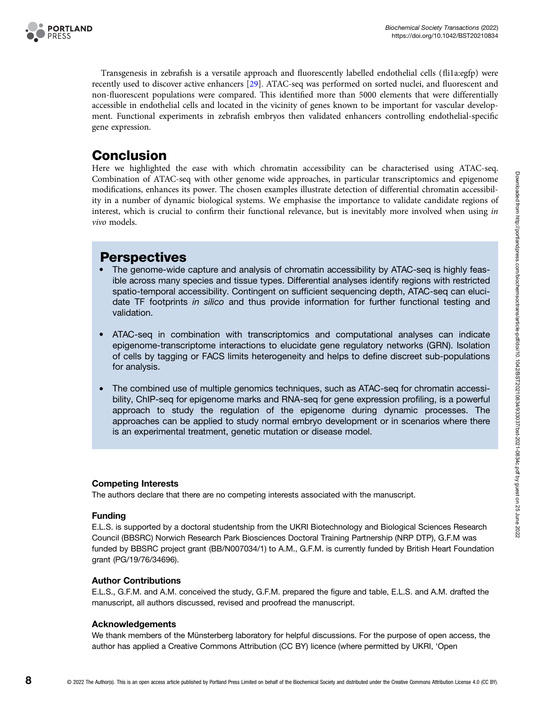

Transgenesis in zebrafish is a versatile approach and fluorescently labelled endothelial cells (fli1a:egfp) were recently used to discover active enhancers [[29](#page-9-0)]. ATAC-seq was performed on sorted nuclei, and fluorescent and non-fluorescent populations were compared. This identified more than 5000 elements that were differentially accessible in endothelial cells and located in the vicinity of genes known to be important for vascular development. Functional experiments in zebrafish embryos then validated enhancers controlling endothelial-specific gene expression.

# Conclusion

Here we highlighted the ease with which chromatin accessibility can be characterised using ATAC-seq. Combination of ATAC-seq with other genome wide approaches, in particular transcriptomics and epigenome modifications, enhances its power. The chosen examples illustrate detection of differential chromatin accessibility in a number of dynamic biological systems. We emphasise the importance to validate candidate regions of interest, which is crucial to confirm their functional relevance, but is inevitably more involved when using in vivo models.

# **Perspectives**

- The genome-wide capture and analysis of chromatin accessibility by ATAC-seq is highly feasible across many species and tissue types. Differential analyses identify regions with restricted spatio-temporal accessibility. Contingent on sufficient sequencing depth, ATAC-seq can elucidate TF footprints in silico and thus provide information for further functional testing and validation.
- ATAC-seq in combination with transcriptomics and computational analyses can indicate epigenome-transcriptome interactions to elucidate gene regulatory networks (GRN). Isolation of cells by tagging or FACS limits heterogeneity and helps to define discreet sub-populations for analysis.
- The combined use of multiple genomics techniques, such as ATAC-seq for chromatin accessibility, ChIP-seq for epigenome marks and RNA-seq for gene expression profiling, is a powerful approach to study the regulation of the epigenome during dynamic processes. The approaches can be applied to study normal embryo development or in scenarios where there is an experimental treatment, genetic mutation or disease model.

### Competing Interests

The authors declare that there are no competing interests associated with the manuscript.

#### Funding

E.L.S. is supported by a doctoral studentship from the UKRI Biotechnology and Biological Sciences Research Council (BBSRC) Norwich Research Park Biosciences Doctoral Training Partnership (NRP DTP), G.F.M was funded by BBSRC project grant (BB/N007034/1) to A.M., G.F.M. is currently funded by British Heart Foundation grant (PG/19/76/34696).

#### Author Contributions

E.L.S., G.F.M. and A.M. conceived the study, G.F.M. prepared the figure and table, E.L.S. and A.M. drafted the manuscript, all authors discussed, revised and proofread the manuscript.

#### Acknowledgements

We thank members of the Münsterberg laboratory for helpful discussions. For the purpose of open access, the author has applied a Creative Commons Attribution (CC BY) licence (where permitted by UKRI, 'Open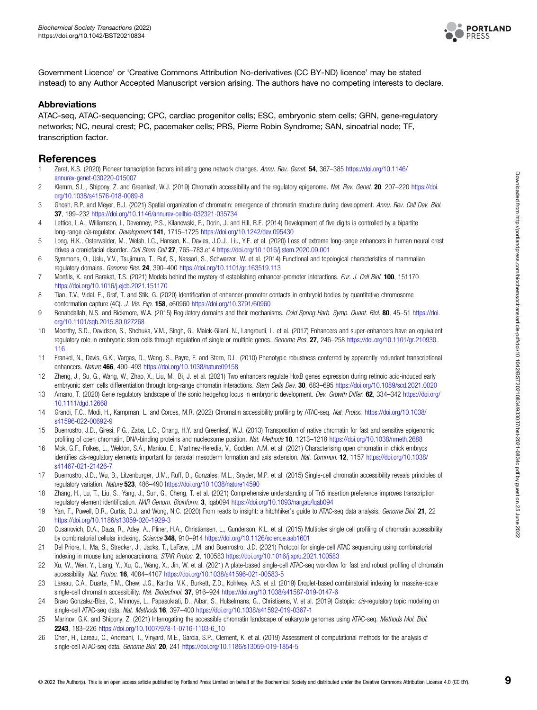

<span id="page-8-0"></span>Government Licence' or 'Creative Commons Attribution No-derivatives (CC BY-ND) licence' may be stated instead) to any Author Accepted Manuscript version arising. The authors have no competing interests to declare.

#### Abbreviations

ATAC-seq, ATAC-sequencing; CPC, cardiac progenitor cells; ESC, embryonic stem cells; GRN, gene-regulatory networks; NC, neural crest; PC, pacemaker cells; PRS, Pierre Robin Syndrome; SAN, sinoatrial node; TF, transcription factor.

### **References**

- 1 Zaret, K.S. (2020) Pioneer transcription factors initiating gene network changes. Annu. Rev. Genet. 54, 367–385 [https://doi.org/10.1146/](https://doi.org/10.1146/annurev-genet-030220-015007) [annurev-genet-030220-015007](https://doi.org/10.1146/annurev-genet-030220-015007)
- 2 Klemm, S.L., Shipony, Z. and Greenleaf, W.J. (2019) Chromatin accessibility and the regulatory epigenome. Nat. Rev. Genet. 20, 207-220 [https://doi.](https://doi.org/10.1038/s41576-018-0089-8) [org/10.1038/s41576-018-0089-8](https://doi.org/10.1038/s41576-018-0089-8)
- 3 Ghosh, R.P. and Meyer, B.J. (2021) Spatial organization of chromatin: emergence of chromatin structure during development. Annu. Rev. Cell Dev. Biol. 37, 199–232 <https://doi.org/10.1146/annurev-cellbio-032321-035734>
- 4 Lettice, L.A., Williamson, I., Devenney, P.S., Kilanowski, F., Dorin, J. and Hill, R.E. (2014) Development of five digits is controlled by a bipartite long-range cis-regulator. Development 141, 1715-1725 <https://doi.org/10.1242/dev.095430>
- 5 Long, H.K., Osterwalder, M., Welsh, I.C., Hansen, K., Davies, J.O.J., Liu, Y.E. et al. (2020) Loss of extreme long-range enhancers in human neural crest drives a craniofacial disorder. Cell Stem Cell 27, 765–783.e14 <https://doi.org/10.1016/j.stem.2020.09.001>
- 6 Symmons, O., Uslu, V.V., Tsujimura, T., Ruf, S., Nassari, S., Schwarzer, W. et al. (2014) Functional and topological characteristics of mammalian regulatory domains. Genome Res. 24, 390–400 <https://doi.org/10.1101/gr.163519.113>
- 7 Monfils, K. and Barakat, T.S. (2021) Models behind the mystery of establishing enhancer-promoter interactions. Eur. J. Cell Biol. 100, 151170 <https://doi.org/10.1016/j.ejcb.2021.151170>
- 8 Tian, T.V., Vidal, E., Graf, T. and Stik, G. (2020) Identification of enhancer-promoter contacts in embryoid bodies by quantitative chromosome conformation capture (4C). J. Vis. Exp. 158, e60960 <https://doi.org/10.3791/60960>
- 9 Benabdallah, N.S. and Bickmore, W.A. (2015) Regulatory domains and their mechanisms. Cold Spring Harb. Symp. Quant. Biol. 80, 45-51 [https://doi.](https://doi.org/10.1101/sqb.2015.80.027268) [org/10.1101/sqb.2015.80.027268](https://doi.org/10.1101/sqb.2015.80.027268)
- 10 Moorthy, S.D., Davidson, S., Shchuka, V.M., Singh, G., Malek-Gilani, N., Langroudi, L. et al. (2017) Enhancers and super-enhancers have an equivalent regulatory role in embryonic stem cells through regulation of single or multiple genes. Genome Res. 27, 246-258 [https://doi.org/10.1101/gr.210930.](https://doi.org/10.1101/gr.210930.116) [116](https://doi.org/10.1101/gr.210930.116)
- 11 Frankel, N., Davis, G.K., Vargas, D., Wang, S., Payre, F. and Stern, D.L. (2010) Phenotypic robustness conferred by apparently redundant transcriptional enhancers. Nature 466, 490–493 <https://doi.org/10.1038/nature09158>
- 12 Zheng, J., Su, G., Wang, W., Zhao, X., Liu, M., Bi, J. et al. (2021) Two enhancers regulate HoxB genes expression during retinoic acid-induced early embryonic stem cells differentiation through long-range chromatin interactions. Stem Cells Dev. 30, 683-695 <https://doi.org/10.1089/scd.2021.0020>
- 13 Amano, T. (2020) Gene regulatory landscape of the sonic hedgehog locus in embryonic development. Dev. Growth Differ. 62, 334-342 [https://doi.org/](https://doi.org/10.1111/dgd.12668) [10.1111/dgd.12668](https://doi.org/10.1111/dgd.12668)
- 14 Grandi, F.C., Modi, H., Kampman, L. and Corces, M.R. (2022) Chromatin accessibility profiling by ATAC-seq. Nat. Protoc. [https://doi.org/10.1038/](https://doi.org/10.1038/s41596-022-00692-9) [s41596-022-00692-9](https://doi.org/10.1038/s41596-022-00692-9)
- 15 Buenrostro, J.D., Giresi, P.G., Zaba, L.C., Chang, H.Y. and Greenleaf, W.J. (2013) Transposition of native chromatin for fast and sensitive epigenomic profiling of open chromatin, DNA-binding proteins and nucleosome position. Nat. Methods 10, 1213–1218 <https://doi.org/10.1038/nmeth.2688>
- 16 Mok, G.F., Folkes, L., Weldon, S.A., Maniou, E., Martinez-Heredia, V., Godden, A.M. et al. (2021) Characterising open chromatin in chick embryos identifies cis-regulatory elements important for paraxial mesoderm formation and axis extension. Nat. Commun. 12, 1157 [https://doi.org/10.1038/](https://doi.org/10.1038/s41467-021-21426-7) [s41467-021-21426-7](https://doi.org/10.1038/s41467-021-21426-7)
- 17 Buenrostro, J.D., Wu, B., Litzenburger, U.M., Ruff, D., Gonzales, M.L., Snyder, M.P. et al. (2015) Single-cell chromatin accessibility reveals principles of regulatory variation. Nature 523, 486-490 <https://doi.org/10.1038/nature14590>
- 18 Zhang, H., Lu, T., Liu, S., Yang, J., Sun, G., Cheng, T. et al. (2021) Comprehensive understanding of Tn5 insertion preference improves transcription regulatory element identification. NAR Genom. Bioinform. 3, lqab094 <https://doi.org/10.1093/nargab/lqab094>
- 19 Yan, F., Powell, D.R., Curtis, D.J. and Wong, N.C. (2020) From reads to insight: a hitchhiker's quide to ATAC-seq data analysis. Genome Biol. 21, 22 <https://doi.org/10.1186/s13059-020-1929-3>
- 20 Cusanovich, D.A., Daza, R., Adey, A., Pliner, H.A., Christiansen, L., Gunderson, K.L. et al. (2015) Multiplex single cell profiling of chromatin accessibility by combinatorial cellular indexing. Science 348, 910-914 <https://doi.org/10.1126/science.aab1601>
- 21 Del Priore, I., Ma, S., Strecker, J., Jacks, T., LaFave, L.M. and Buenrostro, J.D. (2021) Protocol for single-cell ATAC sequencing using combinatorial indexing in mouse lung adenocarcinoma. STAR Protoc. 2, 100583 <https://doi.org/10.1016/j.xpro.2021.100583>
- 22 Xu, W., Wen, Y., Liang, Y., Xu, Q., Wang, X., Jin, W. et al. (2021) A plate-based single-cell ATAC-seq workflow for fast and robust profiling of chromatin accessibility. Nat. Protoc. 16, 4084–4107 <https://doi.org/10.1038/s41596-021-00583-5>
- 23 Lareau, C.A., Duarte, F.M., Chew, J.G., Kartha, V.K., Burkett, Z.D., Kohlway, A.S. et al. (2019) Droplet-based combinatorial indexing for massive-scale single-cell chromatin accessibility. Nat. Biotechnol. 37, 916-924 <https://doi.org/10.1038/s41587-019-0147-6>
- 24 Bravo Gonzalez-Blas, C., Minnoye, L., Papasokrati, D., Aibar, S., Hulselmans, G., Christiaens, V. et al. (2019) Cistopic: cis-regulatory topic modeling on single-cell ATAC-seq data. Nat. Methods 16, 397-400 <https://doi.org/10.1038/s41592-019-0367-1>
- 25 Marinov, G.K. and Shipony, Z. (2021) Interrogating the accessible chromatin landscape of eukaryote genomes using ATAC-seq. Methods Mol. Biol. 2243, 183–226 [https://doi.org/10.1007/978-1-0716-1103-6\\_10](https://doi.org/10.1007/978-1-0716-1103-6_10)
- 26 Chen, H., Lareau, C., Andreani, T., Vinyard, M.E., Garcia, S.P., Clement, K. et al. (2019) Assessment of computational methods for the analysis of single-cell ATAC-seq data. Genome Biol. 20, 241 <https://doi.org/10.1186/s13059-019-1854-5>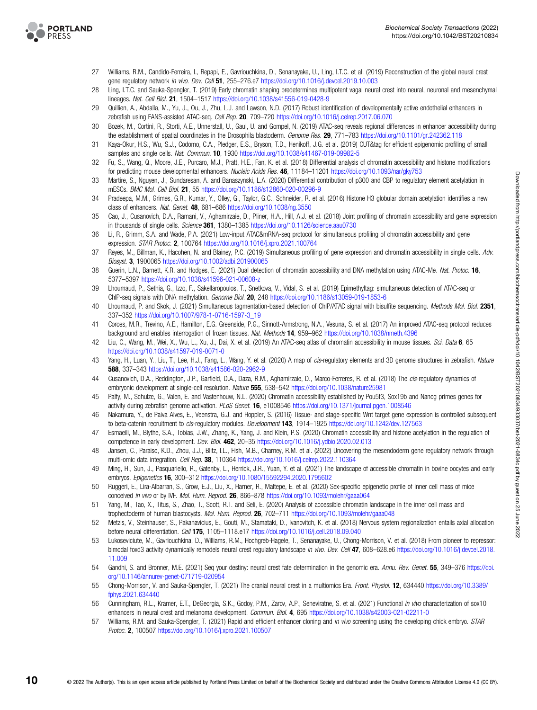<span id="page-9-0"></span>

- 27 Williams, R.M., Candido-Ferreira, I., Repapi, E., Gavriouchkina, D., Senanayake, U., Ling, I.T.C. et al. (2019) Reconstruction of the global neural crest gene regulatory network in vivo. Dev. Cell 51, 255-276.e7 <https://doi.org/10.1016/j.devcel.2019.10.003>
- 28 Ling, I.T.C. and Sauka-Spengler, T. (2019) Early chromatin shaping predetermines multipotent vagal neural crest into neural, neuronal and mesenchymal lineages. Nat. Cell Biol. 21, 1504–1517 <https://doi.org/10.1038/s41556-019-0428-9>
- 29 Quillien, A., Abdalla, M., Yu, J., Ou, J., Zhu, L.J. and Lawson, N.D. (2017) Robust identification of developmentally active endothelial enhancers in zebrafish using FANS-assisted ATAC-seq. Cell Rep. 20, 709-720 <https://doi.org/10.1016/j.celrep.2017.06.070>
- 30 Bozek, M., Cortini, R., Storti, A.E., Unnerstall, U., Gaul, U. and Gompel, N. (2019) ATAC-seq reveals regional differences in enhancer accessibility during the establishment of spatial coordinates in the Drosophila blastoderm. Genome Res. 29, 771-783 <https://doi.org/10.1101/gr.242362.118>
- 31 Kaya-Okur, H.S., Wu, S.J., Codomo, C.A., Pledger, E.S., Bryson, T.D., Henikoff, J.G. et al. (2019) CUT&tag for efficient epigenomic profiling of small samples and single cells. Nat. Commun. 10, 1930 <https://doi.org/10.1038/s41467-019-09982-5>
- 32 Fu, S., Wang, Q., Moore, J.E., Purcaro, M.J., Pratt, H.E., Fan, K. et al. (2018) Differential analysis of chromatin accessibility and histone modifications for predicting mouse developmental enhancers. Nucleic Acids Res. 46, 11184–11201 <https://doi.org/10.1093/nar/gky753>
- 33 Martire, S., Nguyen, J., Sundaresan, A. and Banaszynski, L.A. (2020) Differential contribution of p300 and CBP to regulatory element acetylation in mESCs. BMC Mol. Cell Biol. 21, 55 <https://doi.org/10.1186/s12860-020-00296-9>
- 34 Pradeepa, M.M., Grimes, G.R., Kumar, Y., Olley, G., Taylor, G.C., Schneider, R. et al. (2016) Histone H3 globular domain acetylation identifies a new class of enhancers. Nat. Genet. 48, 681–686 <https://doi.org/10.1038/ng.3550>
- 35 Cao, J., Cusanovich, D.A., Ramani, V., Aghamirzaie, D., Pliner, H.A., Hill, A.J. et al. (2018) Joint profiling of chromatin accessibility and gene expression in thousands of single cells. Science 361, 1380–1385 <https://doi.org/10.1126/science.aau0730>
- 36 Li, R., Grimm, S.A. and Wade, P.A. (2021) Low-input ATAC&mRNA-seq protocol for simultaneous profiling of chromatin accessibility and gene expression. STAR Protoc. 2, 100764 <https://doi.org/10.1016/j.xpro.2021.100764>
- 37 Reyes, M., Billman, K., Hacohen, N. and Blainey, P.C. (2019) Simultaneous profiling of gene expression and chromatin accessibility in single cells. Adv. Biosyst. 3, 1900065 <https://doi.org/10.1002/adbi.201900065>
- 38 Guerin, L.N., Barnett, K.R. and Hodges, E. (2021) Dual detection of chromatin accessibility and DNA methylation using ATAC-Me. Nat. Protoc. 16, 5377–5397 <https://doi.org/10.1038/s41596-021-00608-z>
- 39 Lhoumaud, P., Sethia, G., Izzo, F., Sakellaropoulos, T., Snetkova, V., Vidal, S. et al. (2019) Epimethyltag: simultaneous detection of ATAC-seq or ChIP-seq signals with DNA methylation. Genome Biol. 20, 248 <https://doi.org/10.1186/s13059-019-1853-6>
- 40 Lhoumaud, P. and Skok, J. (2021) Simultaneous tagmentation-based detection of ChIP/ATAC signal with bisulfite sequencing. Methods Mol. Biol. 2351, 337–352 [https://doi.org/10.1007/978-1-0716-1597-3\\_19](https://doi.org/10.1007/978-1-0716-1597-3_19)
- 41 Corces, M.R., Trevino, A.E., Hamilton, E.G. Greenside, P.G., Sinnott-Armstrong, N.A., Vesuna, S. et al. (2017) An improved ATAC-seq protocol reduces background and enables interrogation of frozen tissues. Nat. Methods 14, 959-962 <https://doi.org/10.1038/nmeth.4396>
- 42 Liu, C., Wang, M., Wei, X., Wu, L., Xu, J., Dai, X. et al. (2019) An ATAC-seq atlas of chromatin accessibility in mouse tissues. Sci. Data 6, 65 <https://doi.org/10.1038/s41597-019-0071-0>
- 43 Yang, H., Luan, Y., Liu, T., Lee, H.J., Fang, L., Wang, Y. et al. (2020) A map of cis-regulatory elements and 3D genome structures in zebrafish. Nature 588, 337–343 <https://doi.org/10.1038/s41586-020-2962-9>
- 44 Cusanovich, D.A., Reddington, J.P., Garfield, D.A., Daza, R.M., Aghamirzaie, D., Marco-Ferreres, R. et al. (2018) The cis-regulatory dynamics of embryonic development at single-cell resolution. Nature 555, 538–542 <https://doi.org/10.1038/nature25981>
- 45 Palfy, M., Schulze, G., Valen, E. and Vastenhouw, N.L. (2020) Chromatin accessibility established by Pou5f3, Sox19b and Nanog primes genes for activity during zebrafish genome activation. PLoS Genet. 16, e1008546 <https://doi.org/10.1371/journal.pgen.1008546>
- 46 Nakamura, Y., de Paiva Alves, E., Veenstra, G.J. and Hoppler, S. (2016) Tissue- and stage-specific Wnt target gene expression is controlled subsequent to beta-catenin recruitment to cis-regulatory modules. Development 143, 1914-1925 <https://doi.org/10.1242/dev.127563>
- 47 Esmaeili, M., Blythe, S.A., Tobias, J.W., Zhang, K., Yang, J. and Klein, P.S. (2020) Chromatin accessibility and histone acetylation in the regulation of competence in early development. Dev. Biol. 462, 20-35 <https://doi.org/10.1016/j.ydbio.2020.02.013>
- 48 Jansen, C., Paraiso, K.D., Zhou, J.J., Blitz, I.L., Fish, M.B., Charney, R.M. et al. (2022) Uncovering the mesendoderm gene regulatory network through multi-omic data integration. Cell Rep. 38, 110364 <https://doi.org/10.1016/j.celrep.2022.110364>
- 49 Ming, H., Sun, J., Pasquariello, R., Gatenby, L., Herrick, J.R., Yuan, Y. et al. (2021) The landscape of accessible chromatin in bovine oocytes and early embryos. Epigenetics 16, 300–312 <https://doi.org/10.1080/15592294.2020.1795602>
- 50 Ruggeri, E., Lira-Albarran, S., Grow, E.J., Liu, X., Harner, R., Maltepe, E. et al. (2020) Sex-specific epigenetic profile of inner cell mass of mice conceived in vivo or by IVF. Mol. Hum. Reprod. 26, 866-878 <https://doi.org/10.1093/molehr/gaaa064>
- 51 Yang, M., Tao, X., Titus, S., Zhao, T., Scott, R.T. and Seli, E. (2020) Analysis of accessible chromatin landscape in the inner cell mass and trophectoderm of human blastocysts. Mol. Hum. Reprod. 26, 702-711 <https://doi.org/10.1093/molehr/gaaa048>
- 52 Metzis, V., Steinhauser, S., Pakanavicius, E., Gouti, M., Stamataki, D., Ivanovitch, K. et al. (2018) Nervous system regionalization entails axial allocation before neural differentiation. Cell 175, 1105-1118.e17 <https://doi.org/10.1016/j.cell.2018.09.040>
- 53 Lukoseviciute, M., Gavriouchkina, D., Williams, R.M., Hochgreb-Hagele, T., Senanayake, U., Chong-Morrison, V. et al. (2018) From pioneer to repressor: bimodal foxd3 activity dynamically remodels neural crest regulatory landscape in vivo. Dev. Cell 47, 608-628.e6 [https://doi.org/10.1016/j.devcel.2018.](https://doi.org/10.1016/j.devcel.2018.11.009) [11.009](https://doi.org/10.1016/j.devcel.2018.11.009)
- 54 Gandhi, S. and Bronner, M.E. (2021) Seq your destiny: neural crest fate determination in the genomic era. Annu. Rev. Genet. 55, 349-376 [https://doi.](https://doi.org/10.1146/annurev-genet-071719-020954) [org/10.1146/annurev-genet-071719-020954](https://doi.org/10.1146/annurev-genet-071719-020954)
- 55 Chong-Morrison, V. and Sauka-Spengler, T. (2021) The cranial neural crest in a multiomics Era. Front. Physiol. 12, 634440 [https://doi.org/10.3389/](https://doi.org/10.3389/fphys.2021.634440) [fphys.2021.634440](https://doi.org/10.3389/fphys.2021.634440)
- 56 Cunningham, R.L., Kramer, E.T., DeGeorgia, S.K., Godoy, P.M., Zarov, A.P., Seneviratne, S. et al. (2021) Functional in vivo characterization of sox10 enhancers in neural crest and melanoma development. Commun. Biol. 4, 695 <https://doi.org/10.1038/s42003-021-02211-0>
- 57 Williams, R.M. and Sauka-Spengler, T. (2021) Rapid and efficient enhancer cloning and in vivo screening using the developing chick embryo. STAR Protoc. 2, 100507 <https://doi.org/10.1016/j.xpro.2021.100507>